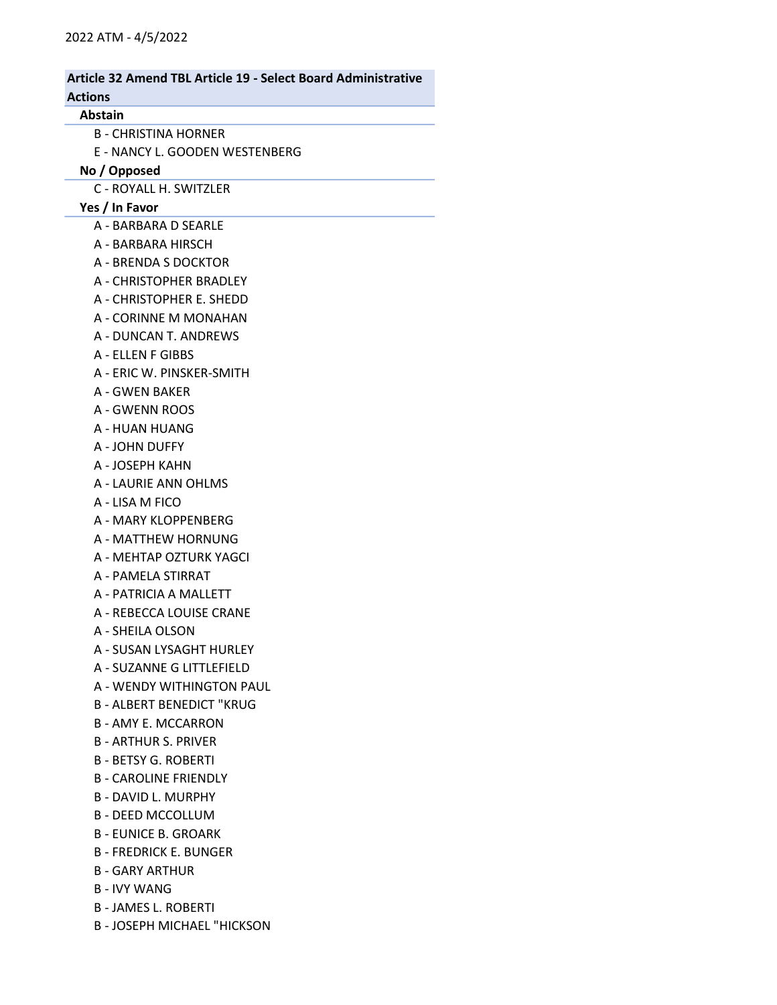| <b>Article 32 Amend TBL Article 19 - Select Board Administrative</b> |  |
|----------------------------------------------------------------------|--|
| <b>Actions</b>                                                       |  |
| <b>Abstain</b>                                                       |  |
| B - CHRISTINA HORNER                                                 |  |
| E - NANCY L. GOODEN WESTENBERG                                       |  |
| No / Opposed                                                         |  |
| C - ROYALL H. SWITZLER                                               |  |
| Yes / In Favor                                                       |  |
| A - BARBARA D SEARLE                                                 |  |
| A - BARBARA HIRSCH                                                   |  |
| A - BRENDA S DOCKTOR                                                 |  |
| A - CHRISTOPHER BRADLEY                                              |  |
| A - CHRISTOPHER E. SHEDD                                             |  |
| A - CORINNE M MONAHAN                                                |  |
| A - DUNCAN T. ANDREWS                                                |  |
| A - ELLEN F GIBBS                                                    |  |
| A - ERIC W. PINSKER-SMITH                                            |  |
| A - GWEN BAKER                                                       |  |
| A - GWENN ROOS                                                       |  |
| A - HUAN HUANG                                                       |  |
| A - JOHN DUFFY                                                       |  |
| A - JOSEPH KAHN                                                      |  |
| A - LAURIE ANN OHLMS                                                 |  |
| A - LISA M FICO                                                      |  |
| A - MARY KLOPPENBERG                                                 |  |
| A - MATTHEW HORNUNG                                                  |  |
| A - MEHTAP OZTURK YAGCI                                              |  |
| A - PAMELA STIRRAT                                                   |  |
| A - PATRICIA A MALLETT                                               |  |
| A - REBECCA LOUISE CRANE                                             |  |
| A - SHEILA OLSON                                                     |  |
| A - SUSAN LYSAGHT HURLEY                                             |  |
| A - SUZANNE G LITTLEFIELD                                            |  |
| A - WENDY WITHINGTON PAUL                                            |  |
| <b>B - ALBERT BENEDICT "KRUG</b>                                     |  |
| <b>B-AMY E. MCCARRON</b>                                             |  |
| <b>B-ARTHUR S. PRIVER</b>                                            |  |
| <b>B - BETSY G. ROBERTI</b>                                          |  |
| <b>B - CAROLINE FRIENDLY</b>                                         |  |
| <b>B-DAVID L. MURPHY</b>                                             |  |
| <b>B - DEED MCCOLLUM</b>                                             |  |
| <b>B - EUNICE B. GROARK</b>                                          |  |
| <b>B - FREDRICK E. BUNGER</b>                                        |  |
| <b>B-GARY ARTHUR</b>                                                 |  |
| <b>B-IVY WANG</b>                                                    |  |
| <b>B - JAMES L. ROBERTI</b>                                          |  |
| <b>B-JOSEPH MICHAEL "HICKSON</b>                                     |  |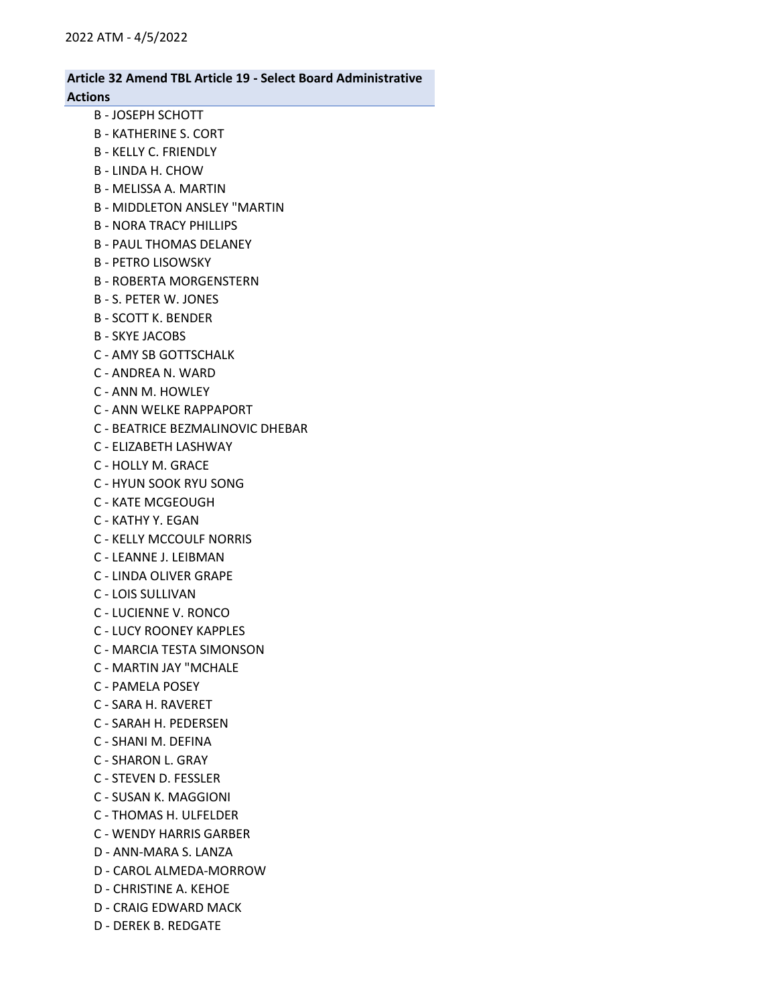## Article 32 Amend TBL Article 19 - Select Board Administrative Actions B - JOSEPH SCHOTT B - KATHERINE S. CORT B - KELLY C. FRIENDLY B - LINDA H. CHOW B - MELISSA A. MARTIN B - MIDDLETON ANSLEY "MARTIN B - NORA TRACY PHILLIPS B - PAUL THOMAS DELANEY B - PETRO LISOWSKY B - ROBERTA MORGENSTERN B - S. PETER W. JONES B - SCOTT K. BENDER B - SKYE JACOBS C - AMY SB GOTTSCHALK C - ANDREA N. WARD C - ANN M. HOWLEY C - ANN WELKE RAPPAPORT C - BEATRICE BEZMALINOVIC DHEBAR C - ELIZABETH LASHWAY C - HOLLY M. GRACE C - HYUN SOOK RYU SONG C - KATE MCGEOUGH C - KATHY Y. EGAN C - KELLY MCCOULF NORRIS C - LEANNE J. LEIBMAN C - LINDA OLIVER GRAPE C - LOIS SULLIVAN C - LUCIENNE V. RONCO C - LUCY ROONEY KAPPLES C - MARCIA TESTA SIMONSON C - MARTIN JAY "MCHALE C - PAMELA POSEY C - SARA H. RAVERET C - SARAH H. PEDERSEN C - SHANI M. DEFINA C - SHARON L. GRAY C - STEVEN D. FESSLER C - SUSAN K. MAGGIONI C - THOMAS H. ULFELDER C - WENDY HARRIS GARBER D - ANN-MARA S. LANZA D - CAROL ALMEDA-MORROW D - CHRISTINE A. KEHOE D - CRAIG EDWARD MACK D - DEREK B. REDGATE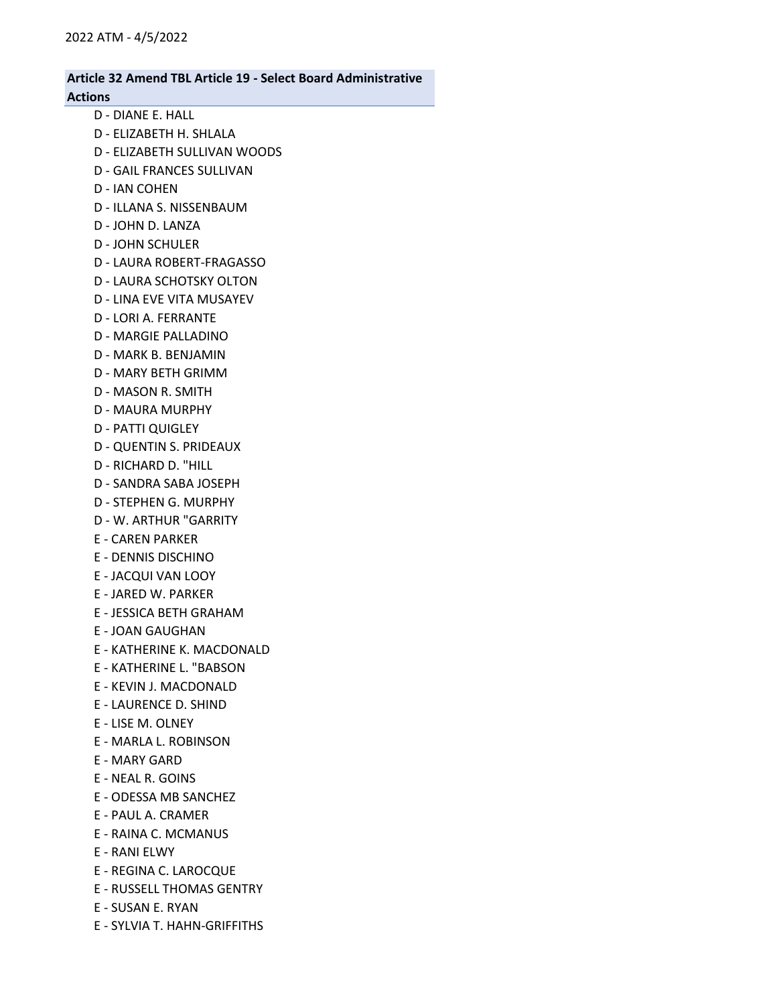| <b>Article 32 Amend TBL Article 19 - Select Board Administrative</b><br><b>Actions</b> |
|----------------------------------------------------------------------------------------|
| D - DIANE E. HALL                                                                      |
| D - FLIZABETH H. SHLALA                                                                |
| D - ELIZABETH SULLIVAN WOODS                                                           |
| <b>D - GAIL FRANCES SULLIVAN</b>                                                       |
| <b>D-IAN COHEN</b>                                                                     |
| D - ILLANA S. NISSENBAUM                                                               |
| D - JOHN D. LANZA                                                                      |
| <b>D-JOHN SCHULER</b>                                                                  |
| D - LAURA ROBERT-FRAGASSO                                                              |
| D - LAURA SCHOTSKY OLTON                                                               |
| D - LINA EVE VITA MUSAYEV                                                              |
| D - LORI A. FERRANTE                                                                   |
| <b>D - MARGIE PALLADINO</b>                                                            |
| D - MARK B. BENJAMIN                                                                   |
| D - MARY BETH GRIMM                                                                    |
| D - MASON R. SMITH                                                                     |
| <b>D - MAURA MURPHY</b>                                                                |
| <b>D - PATTI QUIGLEY</b>                                                               |
| <b>D - QUENTIN S. PRIDEAUX</b>                                                         |
| D - RICHARD D. "HILL                                                                   |
| D - SANDRA SABA JOSEPH                                                                 |
| <b>D - STEPHEN G. MURPHY</b>                                                           |
| D - W. ARTHUR "GARRITY                                                                 |
| <b>E - CAREN PARKER</b>                                                                |
| E - DENNIS DISCHINO                                                                    |
| E - JACQUI VAN LOOY                                                                    |
| <b>E - JARED W. PARKER</b>                                                             |
| E - JESSICA BETH GRAHAM                                                                |
| E - JOAN GAUGHAN                                                                       |
| E - KATHERINE K. MACDONALD                                                             |
| E - KATHERINE L. "BABSON                                                               |
| E - KEVIN J. MACDONALD                                                                 |
| <b>E - LAURENCE D. SHIND</b>                                                           |
| <b>E-LISE M. OLNEY</b>                                                                 |
| E - MARLA L. ROBINSON                                                                  |
| <b>E - MARY GARD</b>                                                                   |
| E - NEAL R. GOINS                                                                      |
| E - ODESSA MB SANCHEZ                                                                  |
| E - PAUL A. CRAMER                                                                     |
| E - RAINA C. MCMANUS                                                                   |
| E - RANI ELWY                                                                          |
| E - REGINA C. LAROCQUE                                                                 |
| <b>E - RUSSELL THOMAS GENTRY</b>                                                       |
| E - SUSAN E. RYAN                                                                      |

E - SYLVIA T. HAHN-GRIFFITHS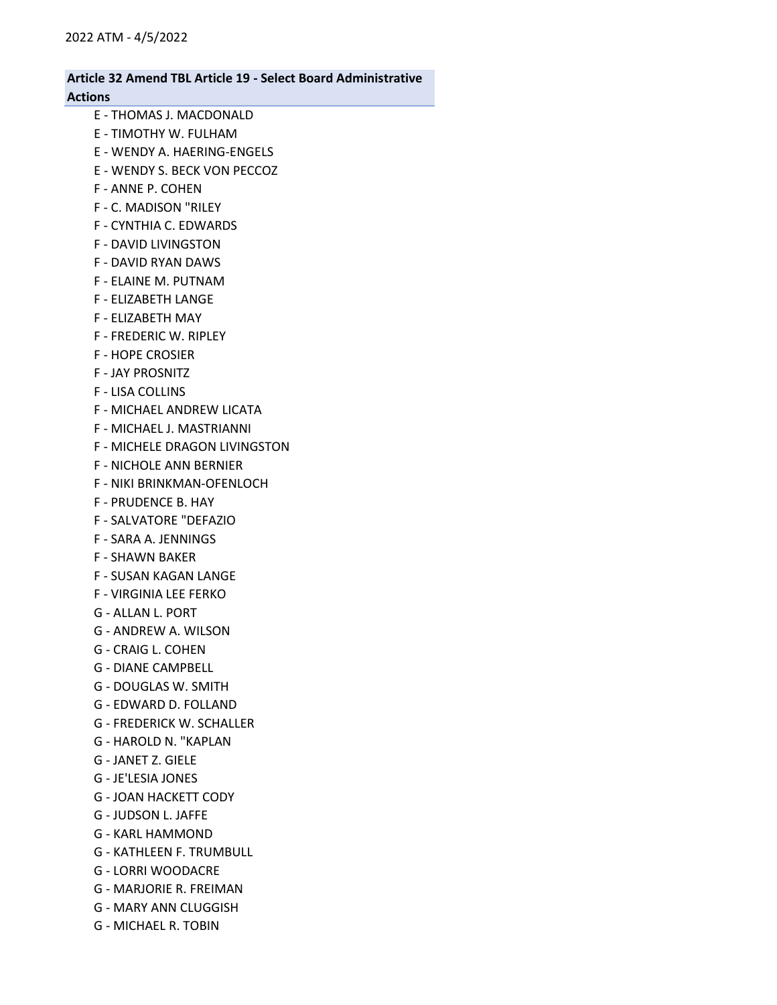## Article 32 Amend TBL Article 19 - Select Board Administrative Actions

- E THOMAS J. MACDONALD E - TIMOTHY W. FULHAM
- E WENDY A. HAERING-ENGELS
- E WENDY S. BECK VON PECCOZ
- F ANNE P. COHEN
- F C. MADISON "RILEY
- F CYNTHIA C. EDWARDS
- F DAVID LIVINGSTON
- F DAVID RYAN DAWS
- F ELAINE M. PUTNAM
- F ELIZABETH LANGE
- F ELIZABETH MAY
- F FREDERIC W. RIPLEY
- F HOPE CROSIER
- F JAY PROSNITZ
- F LISA COLLINS
- F MICHAEL ANDREW LICATA
- F MICHAEL J. MASTRIANNI
- F MICHELE DRAGON LIVINGSTON
- F NICHOLE ANN BERNIER
- F NIKI BRINKMAN-OFENLOCH
- F PRUDENCE B. HAY
- F SALVATORE "DEFAZIO
- F SARA A. JENNINGS
- F SHAWN BAKER
- F SUSAN KAGAN LANGE
- F VIRGINIA LEE FERKO
- G ALLAN L. PORT
- G ANDREW A. WILSON
- G CRAIG L. COHEN
- G DIANE CAMPBELL
- G DOUGLAS W. SMITH
- G EDWARD D. FOLLAND
- G FREDERICK W. SCHALLER
- G HAROLD N. "KAPLAN
- G JANET Z. GIELE
- G JE'LESIA JONES
- G JOAN HACKETT CODY
- G JUDSON L. JAFFE
- G KARL HAMMOND
- G KATHLEEN F. TRUMBULL
- G LORRI WOODACRE
- G MARJORIE R. FREIMAN
- G MARY ANN CLUGGISH
- G MICHAEL R. TOBIN